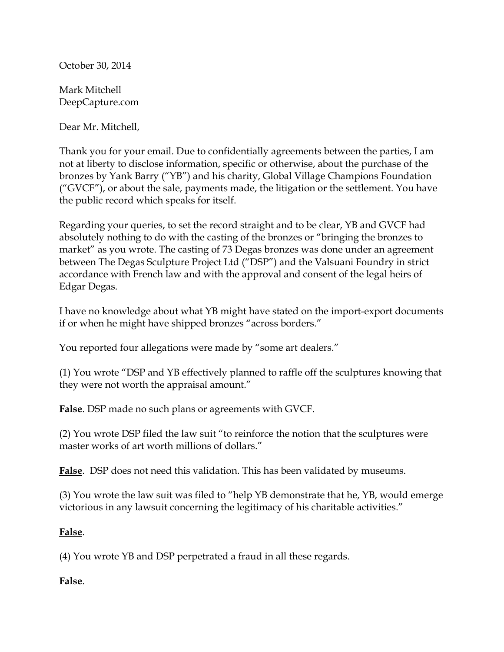October 30, 2014

Mark Mitchell DeepCapture.com

Dear Mr. Mitchell,

Thank you for your email. Due to confidentially agreements between the parties, I am not at liberty to disclose information, specific or otherwise, about the purchase of the bronzes by Yank Barry ("YB") and his charity, Global Village Champions Foundation ("GVCF"), or about the sale, payments made, the litigation or the settlement. You have the public record which speaks for itself.

Regarding your queries, to set the record straight and to be clear, YB and GVCF had absolutely nothing to do with the casting of the bronzes or "bringing the bronzes to market" as you wrote. The casting of 73 Degas bronzes was done under an agreement between The Degas Sculpture Project Ltd ("DSP") and the Valsuani Foundry in strict accordance with French law and with the approval and consent of the legal heirs of Edgar Degas.

I have no knowledge about what YB might have stated on the import-export documents if or when he might have shipped bronzes "across borders."

You reported four allegations were made by "some art dealers."

(1) You wrote "DSP and YB effectively planned to raffle off the sculptures knowing that they were not worth the appraisal amount."

**False**. DSP made no such plans or agreements with GVCF.

(2) You wrote DSP filed the law suit "to reinforce the notion that the sculptures were master works of art worth millions of dollars."

**False**. DSP does not need this validation. This has been validated by museums.

(3) You wrote the law suit was filed to "help YB demonstrate that he, YB, would emerge victorious in any lawsuit concerning the legitimacy of his charitable activities."

## **False**.

(4) You wrote YB and DSP perpetrated a fraud in all these regards.

## **False**.